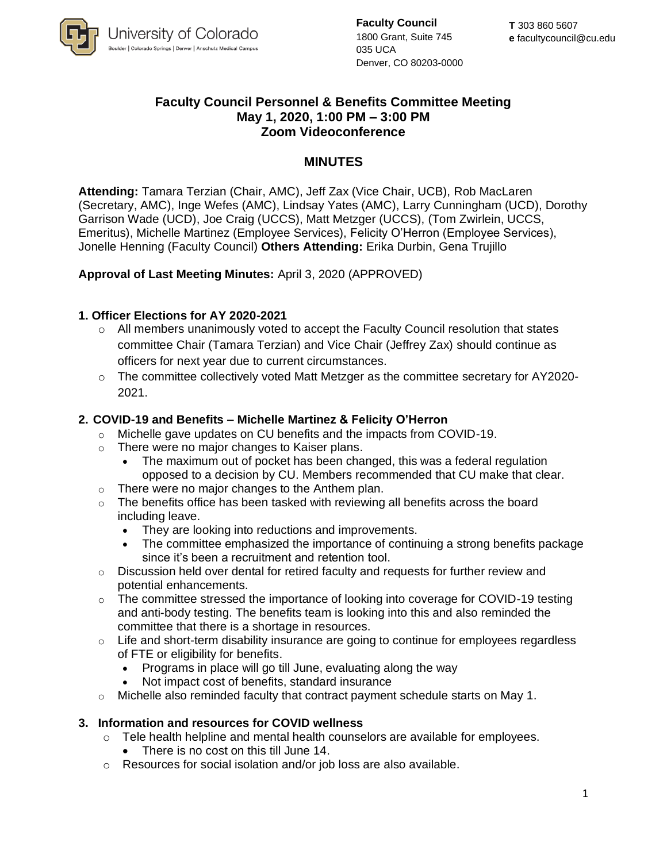

**Faculty Council** 1800 Grant, Suite 745 035 UCA Denver, CO 80203-0000

# **Faculty Council Personnel & Benefits Committee Meeting May 1, 2020, 1:00 PM – 3:00 PM Zoom Videoconference**

# **MINUTES**

**Attending:** Tamara Terzian (Chair, AMC), Jeff Zax (Vice Chair, UCB), Rob MacLaren (Secretary, AMC), Inge Wefes (AMC), Lindsay Yates (AMC), Larry Cunningham (UCD), Dorothy Garrison Wade (UCD), Joe Craig (UCCS), Matt Metzger (UCCS), (Tom Zwirlein, UCCS, Emeritus), Michelle Martinez (Employee Services), Felicity O'Herron (Employee Services), Jonelle Henning (Faculty Council) **Others Attending:** Erika Durbin, Gena Trujillo

### **Approval of Last Meeting Minutes:** April 3, 2020 (APPROVED)

### **1. Officer Elections for AY 2020-2021**

- o All members unanimously voted to accept the Faculty Council resolution that states committee Chair (Tamara Terzian) and Vice Chair (Jeffrey Zax) should continue as officers for next year due to current circumstances.
- $\circ$  The committee collectively voted Matt Metzger as the committee secretary for AY2020-2021.

### **2. COVID-19 and Benefits – Michelle Martinez & Felicity O'Herron**

- o Michelle gave updates on CU benefits and the impacts from COVID-19.
- o There were no major changes to Kaiser plans.
	- The maximum out of pocket has been changed, this was a federal regulation opposed to a decision by CU. Members recommended that CU make that clear.
- $\circ$  There were no major changes to the Anthem plan.
- $\circ$  The benefits office has been tasked with reviewing all benefits across the board including leave.
	- They are looking into reductions and improvements.
	- The committee emphasized the importance of continuing a strong benefits package since it's been a recruitment and retention tool.
- $\circ$  Discussion held over dental for retired faculty and requests for further review and potential enhancements.
- $\circ$  The committee stressed the importance of looking into coverage for COVID-19 testing and anti-body testing. The benefits team is looking into this and also reminded the committee that there is a shortage in resources.
- o Life and short-term disability insurance are going to continue for employees regardless of FTE or eligibility for benefits.
	- Programs in place will go till June, evaluating along the way
	- Not impact cost of benefits, standard insurance
- $\circ$  Michelle also reminded faculty that contract payment schedule starts on May 1.

#### **3. Information and resources for COVID wellness**

- $\circ$  Tele health helpline and mental health counselors are available for employees.
	- There is no cost on this till June 14.
- o Resources for social isolation and/or job loss are also available.